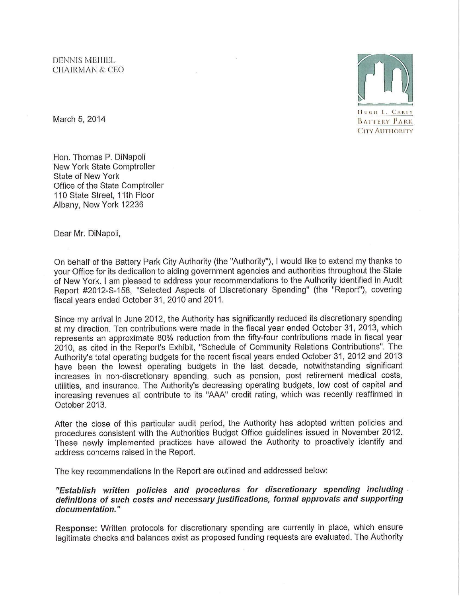

March 5, 2014

Hon. Thomas P. DiNapoli New York State Comptroller State of New York Office of the State Comptroller 110 State Street, 11th Floor Albany, New York 12236

Dear Mr. DiNapoli,

On behalf of the Battery Park City Authority (the "Authority"), I would like to extend my thanks to your Office for its dedication to aiding government agencies and authorities throughout the State of New York. I am pleased to address your recommendations to the Authority identified in Audit Report #20t2-S-158, "Selected Aspects of Discretionary Spending" (the "Report"), covering fiscal years ended October 31, 2010 and 2011.

Since my arrival in June 2012, the Authority has significantly reduced its discretionary spending at my direction. Ten contributions were made in the fiscal year ended October 31, 2013, which represents an approximate 80% reduction from the fifty-four contributions made in fiscal year 2010, as cited in the Report's Exhibit, "Schedule of Community Relations Contributions". The Authority's total operating budgets for the recent fiscal years ended October 31, 2012 and 2013 have been the lowest operating budgets in the last decade, notwithstanding significant increases in non-discretionary spending, such as pension, post retirement medical costs, utilities, and insurance. The Authority's decreasing operating budgets, low cost of capital and increasing revenues all contribute to its "AAA" credit rating, which was recently reaffirmed in October 2013.

After the close of this particular audit period, the Authority has adopted written policies and procedures consistent with the Authorities Budget Office guidelines issued in November 2012. These newly implemented practices have allowed the Authority to proactively identify and address concerns raised in the Report.

The key recommendations in the Report are outlined and addressed below:

"Establish written policies and procedures for discretionary spending including definitions of such costs and necessary justifications, formal approvals and supporting documentation."

Response: Written protocols for discretionary spending are currently in place, which ensure legitimate checks and balances exist as proposed funding requests are evaluated. The Authority